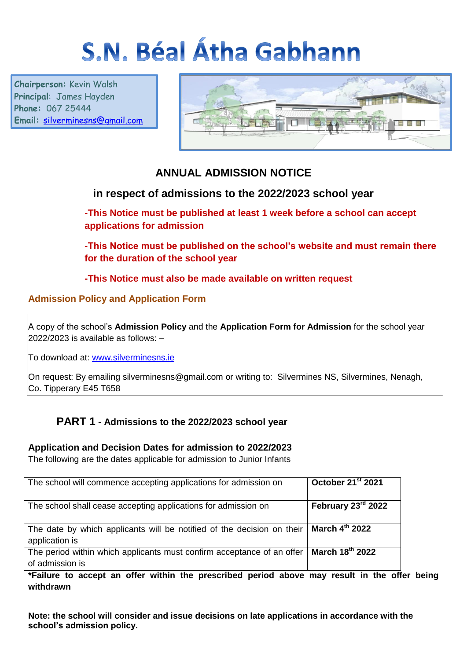# S.N. Béal Átha Gabhann

**Chairperson:** Kevin Walsh **Principal**: James Hayden **Phone:** 067 25444 **Email:** [silverminesns@gmail.com](mailto:silverminesns@gmail.com)



# **ANNUAL ADMISSION NOTICE**

# **in respect of admissions to the 2022/2023 school year**

**-This Notice must be published at least 1 week before a school can accept applications for admission**

**-This Notice must be published on the school's website and must remain there for the duration of the school year** 

**-This Notice must also be made available on written request**

## **Admission Policy and Application Form**

A copy of the school's **Admission Policy** and the **Application Form for Admission** for the school year 2022/2023 is available as follows: –

To download at: www.silverminesns.ie

On request: By emailing silverminesns@gmail.com or writing to: Silvermines NS, Silvermines, Nenagh, Co. Tipperary E45 T658

# **PART 1 - Admissions to the 2022/2023 school year**

### **Application and Decision Dates for admission to 2022/2023**

The following are the dates applicable for admission to Junior Infants

| The school will commence accepting applications for admission on                          | October 21 <sup>st</sup> 2021 |
|-------------------------------------------------------------------------------------------|-------------------------------|
| The school shall cease accepting applications for admission on                            | February 23rd 2022            |
| The date by which applicants will be notified of the decision on their<br>application is  | March 4 <sup>th</sup> 2022    |
| The period within which applicants must confirm acceptance of an offer<br>of admission is | March 18th 2022               |

#### **\*Failure to accept an offer within the prescribed period above may result in the offer being withdrawn**

**Note: the school will consider and issue decisions on late applications in accordance with the school's admission policy.**